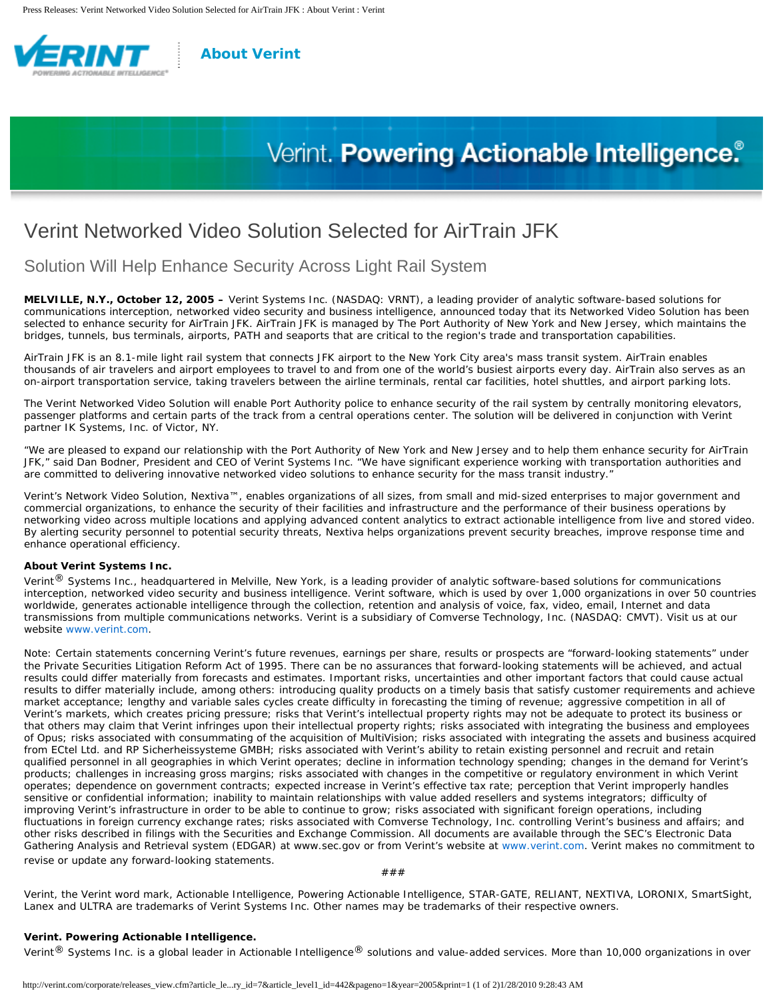

### **[About Verint](http://verint.com/corporate/index.cfm)**

# Verint. Powering Actionable Intelligence.<sup>®</sup>

## Verint Networked Video Solution Selected for AirTrain JFK

Solution Will Help Enhance Security Across Light Rail System

**MELVILLE, N.Y., October 12, 2005 –** Verint Systems Inc. (NASDAQ: VRNT), a leading provider of analytic software-based solutions for communications interception, networked video security and business intelligence, announced today that its Networked Video Solution has been selected to enhance security for AirTrain JFK. AirTrain JFK is managed by The Port Authority of New York and New Jersey, which maintains the bridges, tunnels, bus terminals, airports, PATH and seaports that are critical to the region's trade and transportation capabilities.

AirTrain JFK is an 8.1-mile light rail system that connects JFK airport to the New York City area's mass transit system. AirTrain enables thousands of air travelers and airport employees to travel to and from one of the world's busiest airports every day. AirTrain also serves as an on-airport transportation service, taking travelers between the airline terminals, rental car facilities, hotel shuttles, and airport parking lots.

The Verint Networked Video Solution will enable Port Authority police to enhance security of the rail system by centrally monitoring elevators, passenger platforms and certain parts of the track from a central operations center. The solution will be delivered in conjunction with Verint partner IK Systems, Inc. of Victor, NY.

"We are pleased to expand our relationship with the Port Authority of New York and New Jersey and to help them enhance security for AirTrain JFK," said Dan Bodner, President and CEO of Verint Systems Inc. "We have significant experience working with transportation authorities and are committed to delivering innovative networked video solutions to enhance security for the mass transit industry."

Verint's Network Video Solution, Nextiva™, enables organizations of all sizes, from small and mid-sized enterprises to major government and commercial organizations, to enhance the security of their facilities and infrastructure and the performance of their business operations by networking video across multiple locations and applying advanced content analytics to extract actionable intelligence from live and stored video. By alerting security personnel to potential security threats, Nextiva helps organizations prevent security breaches, improve response time and enhance operational efficiency.

#### **About Verint Systems Inc.**

Verint<sup>®</sup> Systems Inc., headquartered in Melville, New York, is a leading provider of analytic software-based solutions for communications interception, networked video security and business intelligence. Verint software, which is used by over 1,000 organizations in over 50 countries worldwide, generates actionable intelligence through the collection, retention and analysis of voice, fax, video, email, Internet and data transmissions from multiple communications networks. Verint is a subsidiary of Comverse Technology, Inc. (NASDAQ: CMVT). Visit us at our website [www.verint.com](http://www.verint.com/).

Note: Certain statements concerning Verint's future revenues, earnings per share, results or prospects are "forward-looking statements" under the Private Securities Litigation Reform Act of 1995. There can be no assurances that forward-looking statements will be achieved, and actual results could differ materially from forecasts and estimates. Important risks, uncertainties and other important factors that could cause actual results to differ materially include, among others: introducing quality products on a timely basis that satisfy customer requirements and achieve market acceptance; lengthy and variable sales cycles create difficulty in forecasting the timing of revenue; aggressive competition in all of Verint's markets, which creates pricing pressure; risks that Verint's intellectual property rights may not be adequate to protect its business or that others may claim that Verint infringes upon their intellectual property rights; risks associated with integrating the business and employees of Opus; risks associated with consummating of the acquisition of MultiVision; risks associated with integrating the assets and business acquired from ECtel Ltd. and RP Sicherheissysteme GMBH; risks associated with Verint's ability to retain existing personnel and recruit and retain qualified personnel in all geographies in which Verint operates; decline in information technology spending; changes in the demand for Verint's products; challenges in increasing gross margins; risks associated with changes in the competitive or regulatory environment in which Verint operates; dependence on government contracts; expected increase in Verint's effective tax rate; perception that Verint improperly handles sensitive or confidential information; inability to maintain relationships with value added resellers and systems integrators; difficulty of improving Verint's infrastructure in order to be able to continue to grow; risks associated with significant foreign operations, including fluctuations in foreign currency exchange rates; risks associated with Comverse Technology, Inc. controlling Verint's business and affairs; and other risks described in filings with the Securities and Exchange Commission. All documents are available through the SEC's Electronic Data Gathering Analysis and Retrieval system (EDGAR) at www.sec.gov or from Verint's website at [www.verint.com.](http://www.verint.com/) Verint makes no commitment to revise or update any forward-looking statements.

###

Verint, the Verint word mark, Actionable Intelligence, Powering Actionable Intelligence, STAR-GATE, RELIANT, NEXTIVA, LORONIX, SmartSight, Lanex and ULTRA are trademarks of Verint Systems Inc. Other names may be trademarks of their respective owners.

#### **Verint. Powering Actionable Intelligence.**

Verint<sup>®</sup> Systems Inc. is a global leader in Actionable Intelligence<sup>®</sup> solutions and value-added services. More than 10,000 organizations in over